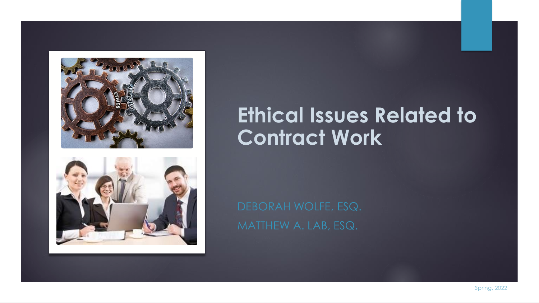



### **Ethical Issues Related to Contract Work**

Spring, 2022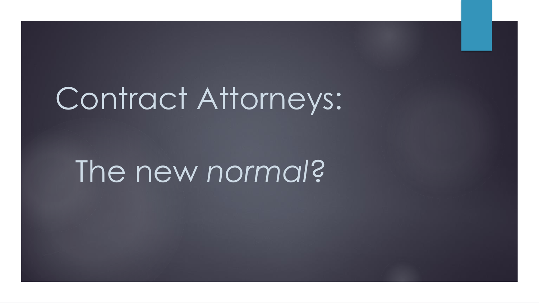# Contract Attorneys:

# The new *normal*?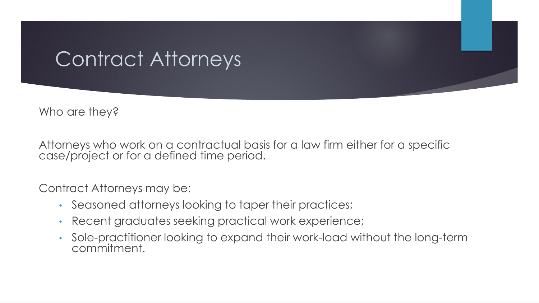### Contract Attorneys

Who are they?

Attorneys who work on a contractual basis for a law firm either for a specific case/project or for a defined time period.

Contract Attorneys may be:

- Seasoned attorneys looking to taper their practices;
- Recent graduates seeking practical work experience;
- Sole-practitioner looking to expand their work-load without the long-term commitment.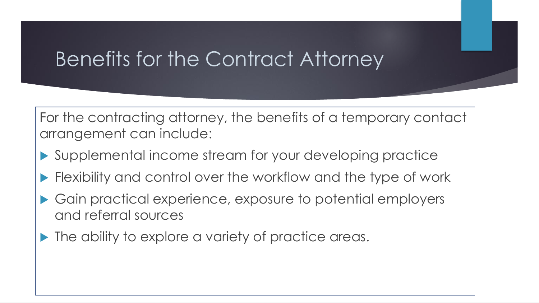### Benefits for the Contract Attorney

For the contracting attorney, the benefits of a temporary contact arrangement can include:

- Supplemental income stream for your developing practice
- Flexibility and control over the workflow and the type of work
- ▶ Gain practical experience, exposure to potential employers and referral sources
- Inter ability to explore a variety of practice areas.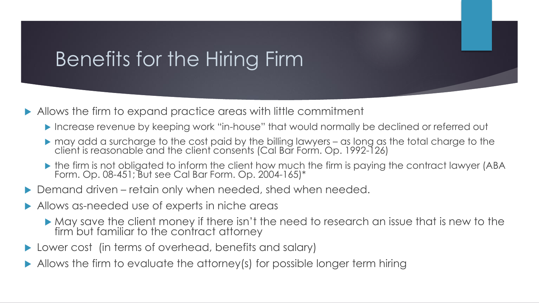## Benefits for the Hiring Firm

- Allows the firm to expand practice areas with little commitment
	- Increase revenue by keeping work "in-house" that would normally be declined or referred out
	- may add a surcharge to the cost paid by the billing lawyers as long as the total charge to the client is reasonable and the client consents (Cal Bar Form. Op. 1992-126)
	- the firm is not obligated to inform the client how much the firm is paying the contract lawyer (ABA Form. Op. 08-451; But see Cal Bar Form. Op. 2004-165)\*
- ▶ Demand driven retain only when needed, shed when needed.
- Allows as-needed use of experts in niche areas
	- May save the client money if there isn't the need to research an issue that is new to the firm but familiar to the contract attorney
- Lower cost (in terms of overhead, benefits and salary)
- Allows the firm to evaluate the attorney(s) for possible longer term hiring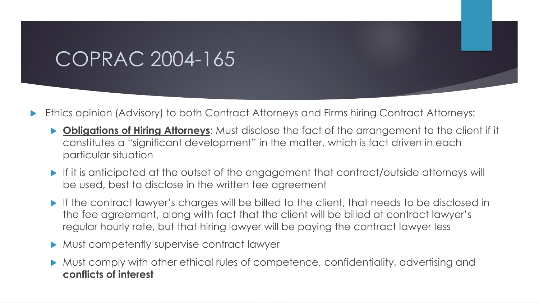### COPRAC 2004-165

- Ethics opinion (Advisory) to both Contract Attorneys and Firms hiring Contract Attorneys:
	- **Obligations of Hiring Attorneys:** Must disclose the fact of the arrangement to the client if it constitutes a "significant development" in the matter, which is fact driven in each particular situation
	- If it is anticipated at the outset of the engagement that contract/outside attorneys will be used, best to disclose in the written fee agreement
	- If the contract lawyer's charges will be billed to the client, that needs to be disclosed in the fee agreement, along with fact that the client will be billed at contract lawyer's regular hourly rate, but that hiring lawyer will be paying the contract lawyer less
	- **Must competently supervise contract lawyer**
	- Must comply with other ethical rules of competence, confidentiality, advertising and **conflicts of interest**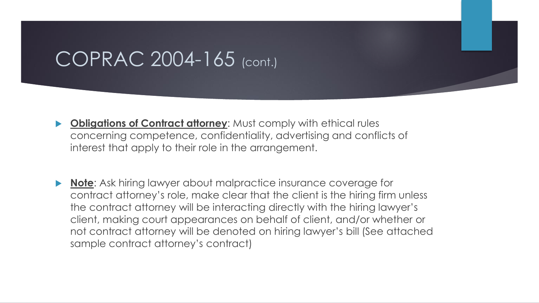### COPRAC 2004-165 (cont.)

- **Bullianger 19 State of Contract attorney:** Must comply with ethical rules concerning competence, confidentiality, advertising and conflicts of interest that apply to their role in the arrangement.
- **Note**: Ask hiring lawyer about malpractice insurance coverage for contract attorney's role, make clear that the client is the hiring firm unless the contract attorney will be interacting directly with the hiring lawyer's client, making court appearances on behalf of client, and/or whether or not contract attorney will be denoted on hiring lawyer's bill (See attached sample contract attorney's contract)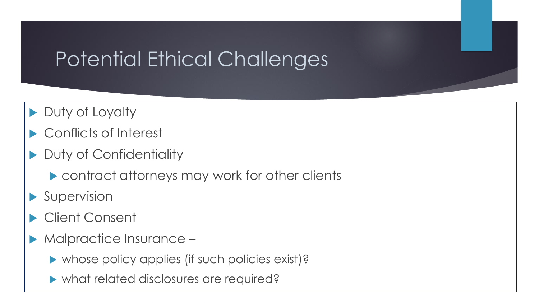## Potential Ethical Challenges

- Duty of Loyalty
- Conflicts of Interest
- Duty of Confidentiality
	- contract attorneys may work for other clients
- Supervision
- Client Consent
- Malpractice Insurance
	- whose policy applies (if such policies exist)?
	- what related disclosures are required?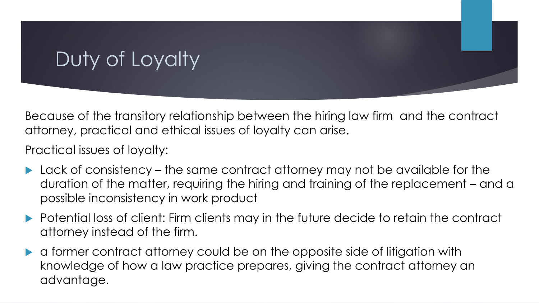## Duty of Loyalty

Because of the transitory relationship between the hiring law firm and the contract attorney, practical and ethical issues of loyalty can arise.

Practical issues of loyalty:

- Lack of consistency the same contract attorney may not be available for the duration of the matter, requiring the hiring and training of the replacement – and a possible inconsistency in work product
- Potential loss of client: Firm clients may in the future decide to retain the contract attorney instead of the firm.
- a former contract attorney could be on the opposite side of litigation with knowledge of how a law practice prepares, giving the contract attorney an advantage.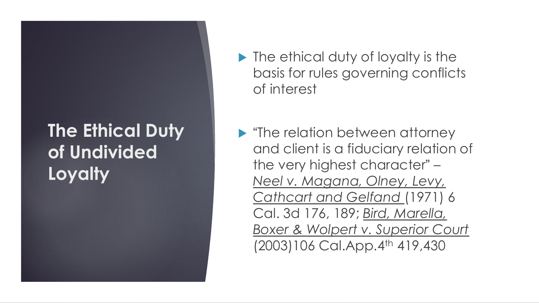### **The Ethical Duty of Undivided Loyalty**

- **In** The ethical duty of loyalty is the basis for rules governing conflicts of interest
- **"The relation between attorney"** and client is a fiduciary relation of the very highest character" – *Neel v. Magana, Olney, Levy, Cathcart and Gelfand* (1971) 6 Cal. 3d 176, 189; *Bird, Marella, Boxer & Wolpert v. Superior Court*  (2003)106 Cal.App.4th 419,430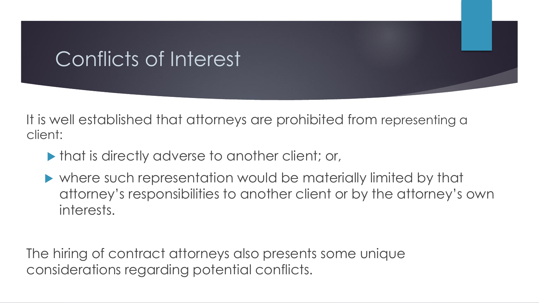## Conflicts of Interest

It is well established that attorneys are prohibited from representing a client:

- $\blacktriangleright$  that is directly adverse to another client; or,
- where such representation would be materially limited by that attorney's responsibilities to another client or by the attorney's own interests.

The hiring of contract attorneys also presents some unique considerations regarding potential conflicts.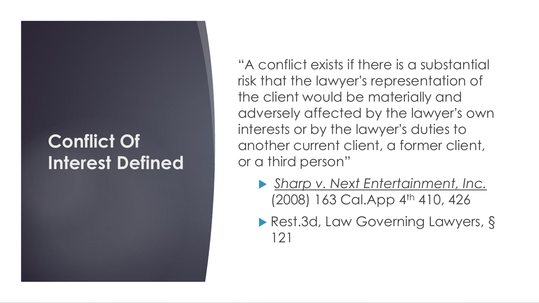### **Conflict Of Interest Defined**

"A conflict exists if there is a substantial risk that the lawyer's representation of the client would be materially and adversely affected by the lawyer's own interests or by the lawyer's duties to another current client, a former client, or a third person"

- *Sharp v. Next Entertainment, Inc.*  (2008) 163 Cal.App 4<sup>th</sup> 410, 426
- ▶ Rest.3d, Law Governing Lawyers, § 121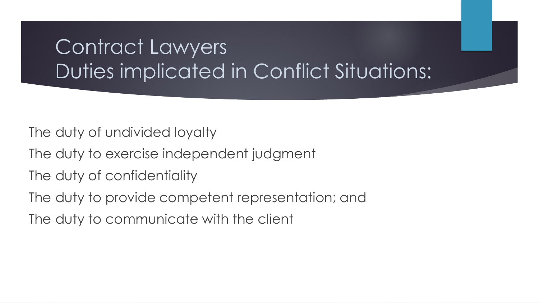## Contract Lawyers Duties implicated in Conflict Situations:

The duty of undivided loyalty

- The duty to exercise independent judgment
- The duty of confidentiality
- The duty to provide competent representation; and
- The duty to communicate with the client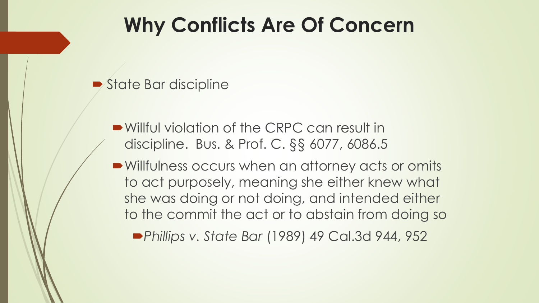## **Why Conflicts Are Of Concern**

- State Bar discipline
	- Willful violation of the CRPC can result in discipline. Bus. & Prof. C. §§ 6077, 6086.5
	- Willfulness occurs when an attorney acts or omits to act purposely, meaning she either knew what she was doing or not doing, and intended either to the commit the act or to abstain from doing so

*Phillips v. State Bar* (1989) 49 Cal.3d 944, 952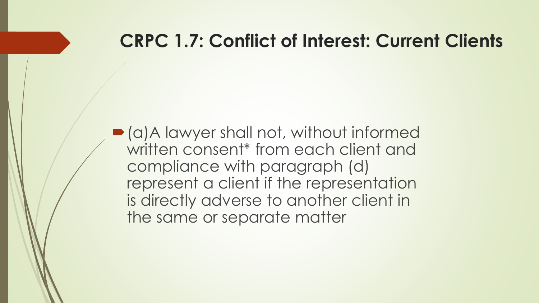### **CRPC 1.7: Conflict of Interest: Current Clients**

(a)A lawyer shall not, without informed written consent<sup>\*</sup> from each client and compliance with paragraph (d) represent a client if the representation is directly adverse to another client in the same or separate matter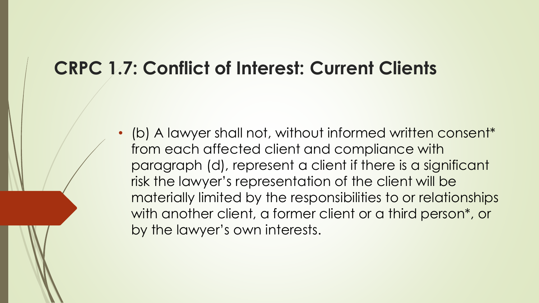### **CRPC 1.7: Conflict of Interest: Current Clients**

• (b) A lawyer shall not, without informed written consent\* from each affected client and compliance with paragraph (d), represent a client if there is a significant risk the lawyer's representation of the client will be materially limited by the responsibilities to or relationships with another client, a former client or a third person\*, or by the lawyer's own interests.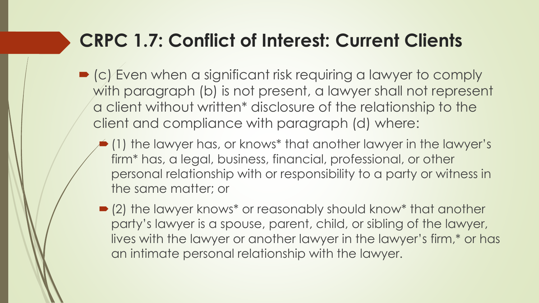### **CRPC 1.7: Conflict of Interest: Current Clients**

- (c) Even when a significant risk requiring a lawyer to comply with paragraph (b) is not present, a lawyer shall not represent a client without written\* disclosure of the relationship to the client and compliance with paragraph (d) where:
	- $\bullet$  (1) the lawyer has, or knows\* that another lawyer in the lawyer's firm\* has, a legal, business, financial, professional, or other personal relationship with or responsibility to a party or witness in the same matter; or
	- (2) the lawyer knows\* or reasonably should know\* that another party's lawyer is a spouse, parent, child, or sibling of the lawyer, lives with the lawyer or another lawyer in the lawyer's firm,\* or has an intimate personal relationship with the lawyer.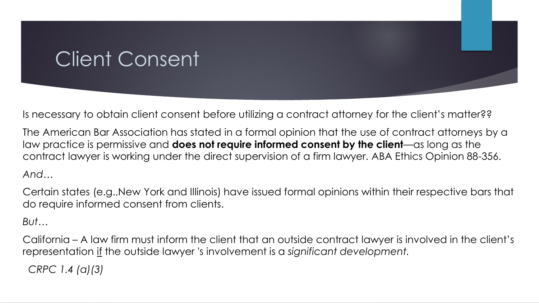## Client Consent

Is necessary to obtain client consent before utilizing a contract attorney for the client's matter??

The American Bar Association has stated in a formal opinion that the use of contract attorneys by a law practice is permissive and **does not require informed consent by the client**—as long as the contract lawyer is working under the direct supervision of a firm lawyer. ABA Ethics Opinion 88-356.

#### *And*…

Certain states (e.g.,New York and Illinois) have issued formal opinions within their respective bars that do require informed consent from clients.

#### *But*…

California – A law firm must inform the client that an outside contract lawyer is involved in the client's representation if the outside lawyer 's involvement is a *significant development.* 

*CRPC 1.4 (a)(3)*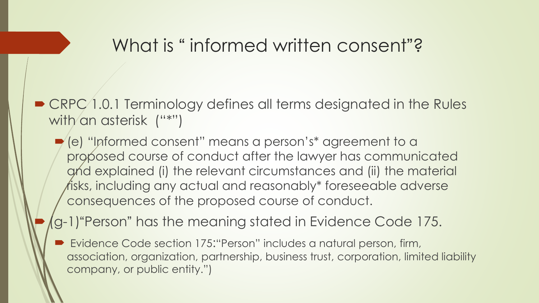### What is "informed written consent"?

- CRPC 1.0.1 Terminology defines all terms designated in the Rules with an asterisk ("\*")
	- (e) "Informed consent" means a person's\* agreement to a proposed course of conduct after the lawyer has communicated and explained (i) the relevant circumstances and (ii) the material risks, including any actual and reasonably\* foreseeable adverse consequences of the proposed course of conduct.
	- (g-1)"Person" has the meaning stated in Evidence Code 175.
		- Evidence Code section 175:"Person" includes a natural person, firm, association, organization, partnership, business trust, corporation, limited liability company, or public entity.")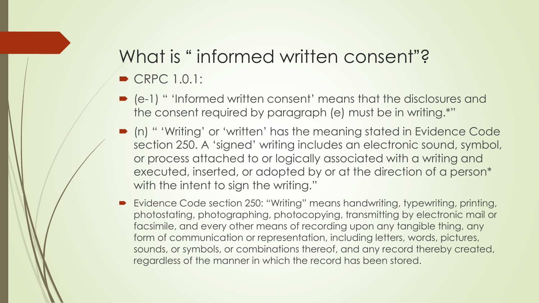# What is "informed written consent"?

- $\triangleright$  CRPC 1.0.1:
- (e-1) " 'Informed written consent' means that the disclosures and the consent required by paragraph (e) must be in writing.\*"
- (n) " 'Writing' or 'written' has the meaning stated in Evidence Code section 250. A 'signed' writing includes an electronic sound, symbol, or process attached to or logically associated with a writing and executed, inserted, or adopted by or at the direction of a person\* with the intent to sign the writing."
- Evidence Code section 250: "Writing" means handwriting, typewriting, printing, photostating, photographing, photocopying, transmitting by electronic mail or facsimile, and every other means of recording upon any tangible thing, any form of communication or representation, including letters, words, pictures, sounds, or symbols, or combinations thereof, and any record thereby created, regardless of the manner in which the record has been stored.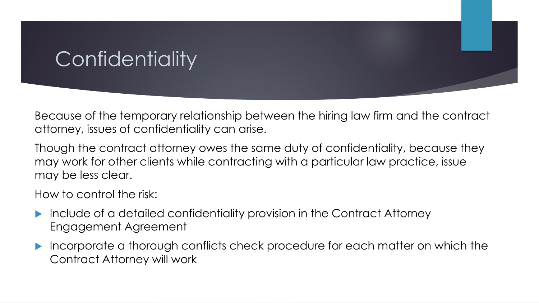## Confidentiality

Because of the temporary relationship between the hiring law firm and the contract attorney, issues of confidentiality can arise.

Though the contract attorney owes the same duty of confidentiality, because they may work for other clients while contracting with a particular law practice, issue may be less clear.

How to control the risk:

- Include of a detailed confidentiality provision in the Contract Attorney Engagement Agreement
- Incorporate a thorough conflicts check procedure for each matter on which the Contract Attorney will work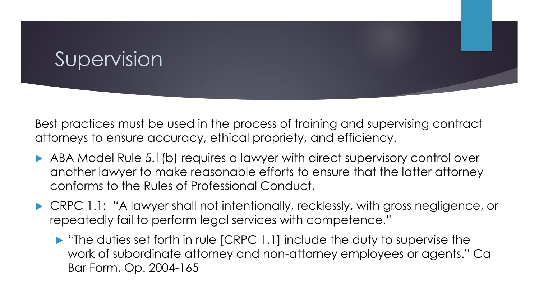### Supervision

Best practices must be used in the process of training and supervising contract attorneys to ensure accuracy, ethical propriety, and efficiency.

- ABA Model Rule 5.1(b) requires a lawyer with direct supervisory control over another lawyer to make reasonable efforts to ensure that the latter attorney conforms to the Rules of Professional Conduct.
- CRPC 1.1: "A lawyer shall not intentionally, recklessly, with gross negligence, or repeatedly fail to perform legal services with competence."
	- $\blacktriangleright$  "The duties set forth in rule [CRPC 1.1] include the duty to supervise the work of subordinate attorney and non-attorney employees or agents." Ca Bar Form. Op. 2004-165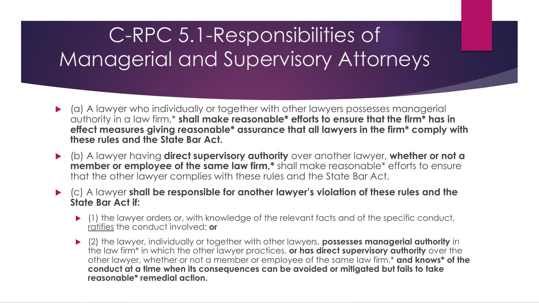## C-RPC 5.1-Responsibilities of Managerial and Supervisory Attorneys

- (a) A lawyer who individually or together with other lawyers possesses managerial authority in a law firm,\* **shall make reasonable\* efforts to ensure that the firm\* has in effect measures giving reasonable\* assurance that all lawyers in the firm\* comply with these rules and the State Bar Act.**
- (b) A lawyer having **direct supervisory authority** over another lawyer, **whether or not a member or employee of the same law firm,\*** shall make reasonable\* efforts to ensure that the other lawyer complies with these rules and the State Bar Act.
- (c) A lawyer **shall be responsible for another lawyer's violation of these rules and the State Bar Act if:** 
	- $\blacktriangleright$  (1) the lawyer orders or, with knowledge of the relevant facts and of the specific conduct, ratifies the conduct involved; **or**
	- (2) the lawyer, individually or together with other lawyers, **possesses managerial authority** in the law firm\* in which the other lawyer practices, **or has direct supervisory authority** over the other lawyer, whether or not a member or employee of the same law firm,\* **and knows\* of the conduct at a time when its consequences can be avoided or mitigated but fails to take reasonable\* remedial action.**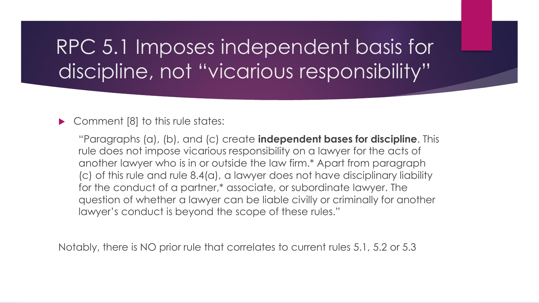## RPC 5.1 Imposes independent basis for discipline, not "vicarious responsibility"

#### ▶ Comment [8] to this rule states:

"Paragraphs (a), (b), and (c) create **independent bases for discipline**. This rule does not impose vicarious responsibility on a lawyer for the acts of another lawyer who is in or outside the law firm.\* Apart from paragraph (c) of this rule and rule 8.4(a), a lawyer does not have disciplinary liability for the conduct of a partner,\* associate, or subordinate lawyer. The question of whether a lawyer can be liable civilly or criminally for another lawyer's conduct is beyond the scope of these rules."

Notably, there is NO prior rule that correlates to current rules 5.1, 5.2 or 5.3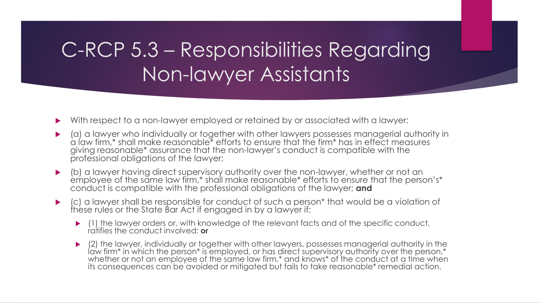## C-RCP 5.3 – Responsibilities Regarding Non-lawyer Assistants

- With respect to a non-lawyer employed or retained by or associated with a lawyer:
- (a) a lawyer who individually or together with other lawyers possesses managerial authority in a law firm,\* shall make reasonable\* efforts to ensure that the firm\* has in effect measures giving reasonable\* assurance that the non-lawyer's conduct is compatible with the professional obligations of the lawyer;
- (b) a lawyer having direct supervisory authority over the non-lawyer, whether or not an employee of the same law firm,\* shall make reasonable\* efforts to ensure that the person's\* conduct is compatible with the professional obligations of the lawyer; **and**
- (c) a lawyer shall be responsible for conduct of such a person\* that would be a violation of these rules or the State Bar Act if engaged in by a lawyer if:
	- $\blacktriangleright$  (1) the lawyer orders or, with knowledge of the relevant facts and of the specific conduct, ratifies the conduct involved; **or**
	- (2) the lawyer, individually or together with other lawyers, possesses managerial authority in the law firm\* in which the person\* is employed, or has direct supervisory authority over the person,\* whether or not an employee of the same law firm,\* and knows\* of the conduct at a time when its consequences can be avoided or mitigated but fails to take reasonable\* remedial action.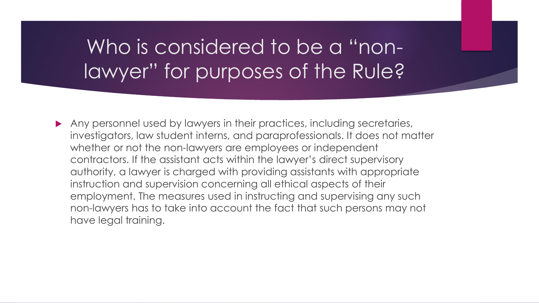### Who is considered to be a "nonlawyer" for purposes of the Rule?

Any personnel used by lawyers in their practices, including secretaries, investigators, law student interns, and paraprofessionals. It does not matter whether or not the non-lawyers are employees or independent contractors. If the assistant acts within the lawyer's direct supervisory authority, a lawyer is charged with providing assistants with appropriate instruction and supervision concerning all ethical aspects of their employment. The measures used in instructing and supervising any such non-lawyers has to take into account the fact that such persons may not have legal training.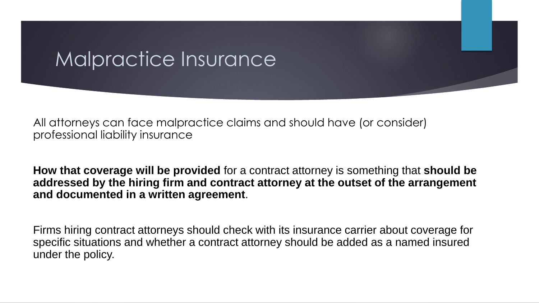### Malpractice Insurance

All attorneys can face malpractice claims and should have (or consider) professional liability insurance

**How that coverage will be provided** for a contract attorney is something that **should be addressed by the hiring firm and contract attorney at the outset of the arrangement and documented in a written agreement**.

Firms hiring contract attorneys should check with its insurance carrier about coverage for specific situations and whether a contract attorney should be added as a named insured under the policy.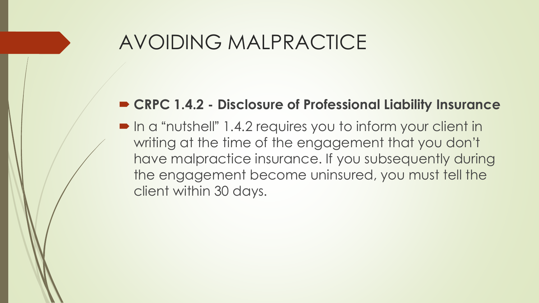### AVOIDING MALPRACTICE

#### **CRPC 1.4.2 - Disclosure of Professional Liability Insurance**

■ In a "nutshell" 1.4.2 requires you to inform your client in writing at the time of the engagement that you don't have malpractice insurance. If you subsequently during the engagement become uninsured, you must tell the client within 30 days.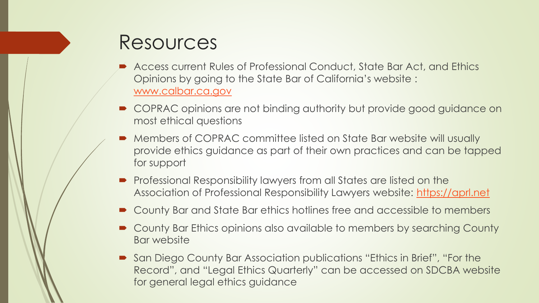### Resources

- Access current Rules of Professional Conduct, State Bar Act, and Ethics Opinions by going to the State Bar of California's website : [www.calbar.ca.gov](http://www.calbar.ca.gov/)
- COPRAC opinions are not binding authority but provide good guidance on most ethical questions
- Members of COPRAC committee listed on State Bar website will usually provide ethics guidance as part of their own practices and can be tapped for support
- **Professional Responsibility lawyers from all States are listed on the** Association of Professional Responsibility Lawyers website: [https://aprl.net](https://aprl.net/)
- County Bar and State Bar ethics hotlines free and accessible to members
- County Bar Ethics opinions also available to members by searching County Bar website
- San Diego County Bar Association publications "Ethics in Brief", "For the Record", and "Legal Ethics Quarterly" can be accessed on SDCBA website for general legal ethics guidance